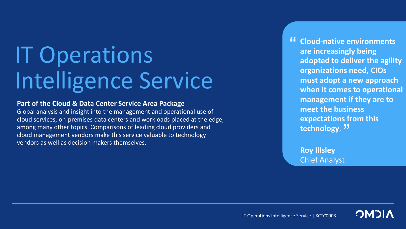# IT Operations Intelligence Service

#### **Part of the Cloud & Data Center Service Area Package**

Global analysis and insight into the management and operational use of cloud services, on-premises data centers and workloads placed at the edge, among many other topics. Comparisons of leading cloud providers and cloud management vendors make this service valuable to technology vendors as well as decision makers themselves.

<sup>"</sup> Cloud-native environments<br>
are increasingly being **are increasingly being adopted to deliver the agility organizations need, CIOs must adopt a new approach when it comes to operational management if they are to meet the business expectations from this**  technology. <sup>"</sup>

**Roy Illsley** Chief Analyst

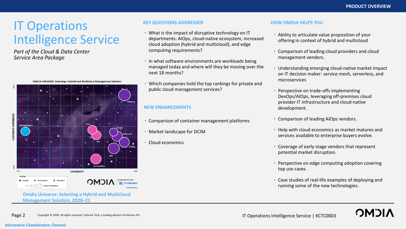**OMPI** 

## IT Operations Intelligence Service

*Part of the Cloud & Data Center Service Area Package*

OMDIA UNIVERSE: Selecting a Hybrid and Multicloud Management Solution



**Omdia Universe: Selecting a Hybrid and Multicloud Management Solution, 2020–21** 

#### **KEY QUESTIONS ADDRESSED HOW OMDIA HELPS YOU**

- What is the impact of disruptive technology on IT departments: AIOps, cloud-native ecosystem, increased cloud adoption (hybrid and multicloud), and edge computing requirements?
- In what software environments are workloads being managed today and where will they be moving over the next 18 months?
- Which companies hold the top rankings for private and public cloud management services?

#### **NEW ENHANCEMENTS**

- Comparison of container management platforms
- Market landscape for DCIM
- Cloud economics

- Ability to articulate value proposition of your offering in context of hybrid and multicloud
- Comparison of leading cloud providers and cloud management vendors.
- Understanding emerging cloud-native market impact on IT decision maker: service mesh, serverless, and microservices
- Perspective on trade-offs implementing DevOps/AIOps, leveraging off-premises cloud provider IT infrastructure and cloud-native development.
- Comparison of leading AIOps vendors.
- Help with cloud economics as market matures and services available to enterprise buyers evolve.
- Coverage of early-stage vendors that represent potential market disruption.
- Perspective on edge computing adoption covering top use cases.
- Case studies of real-life examples of deploying and running some of the new technologies.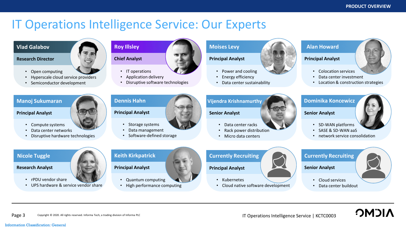### IT Operations Intelligence Service: Our Experts



#### **Research Director**

- Open computing
- Hyperscale cloud service providers
- Semiconductor development

#### **Manoj Sukumaran**

#### **Principal Analyst**



- Compute systems
- Data center networks
- Disruptive hardware technologies

## **Roy Illsley**



- IT operations
- Application delivery
- Disruptive software technologies

#### **Moises Levy**

#### **Principal Analyst**

- Power and cooling
- Energy efficiency
- Data center sustainability

#### **Alan Howard**

#### **Principal Analyst**

- Colocation services
- Data center investment
- Location & construction strategies

**Principal Analyst**

- Storage systems
- 
- Software-defined storage

#### **Vijendra Krishnamurthy**

**Senior Analyst**

- Data center racks
- Rack power distribution
- Micro data centers

#### **Dominika Koncewicz**

**Senior Analyst**

- SD-WAN platforms
- SASE & SD-WAN aaS
- network service consolidation

**Nicole Tuggle**

#### **Research Analyst**

- rPDU vendor share
- UPS hardware & service vendor share



#### **Principal Analyst**

• Quantum computing

• High performance computing

#### **Currently Recruiting**

#### **Principal Analyst**

- Kubernetes
- Cloud native software development

#### **Currently Recruiting**

**Senior Analyst**

- Cloud services
- Data center buildout

**NICMC** 

• Data management

**Dennis Hahn**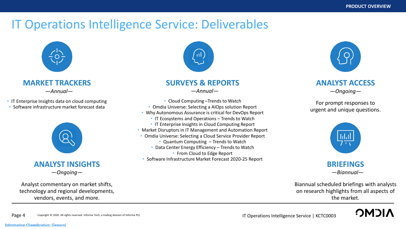## IT Operations Intelligence Service: Deliverables



### **MARKET TRACKERS**

*—Annual—*

• IT Enterprise Insights data on cloud computing • Software infrastructure market forecast data



### **ANALYST INSIGHTS** —*Ongoing—*

Analyst commentary on market shifts, technology and regional developments, vendors, events, and more.

Copyright © 2020. All rights reserved. Informa Tech, a trading division of Informa PLC



### **SURVEYS & REPORTS**

—*Annual—*

- Cloud Computing –Trends to Watch
- Omdia Universe: Selecting a AIOps solution Report
- Why Autonomous Assurance is critical for DevOps Report
	- IT Ecosystems and Operations Trends to Watch
	- IT Enterprise Insights in Cloud Computing Report
- Market Disruptors in IT Management and Automation Report
- Omdia Universe: Selecting a Cloud Service Provider Report
	- Quantum Computing Trends to Watch
	- Data Center Energy Efficiency Trends to Watch
		- From Cloud to Edge Report
- Software Infrastructure Market Forecast 2020-25 Report



### **ANALYST ACCESS** —*Ongoing—*

For prompt responses to urgent and unique questions.



—*Biannual—*

Biannual scheduled briefings with analysts on research highlights from all aspects of the market.



#### Page 4 Copyright © 2020. All rights reserved. Informa Tech, a trading division of Informa PLC<br> **Page 4** Copyright © 2020. All rights reserved. Informa Tech, a trading division of Informa PLC

#### Information Classification: General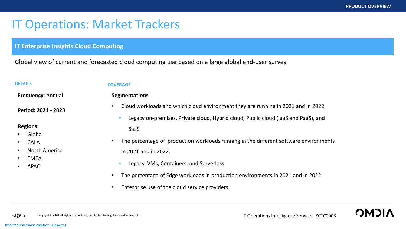OM"

## IT Operations: Market Trackers

#### **IT Enterprise Insights Cloud Computing**

Global view of current and forecasted cloud computing use based on a large global end-user survey.

**Frequency**: Annual

**Period: 2021 - 2023**

#### **Regions:**

- Global
- CALA
- North America
- **EMEA**
- APAC

#### **DETAILS COVERAGE**

**Segmentations**

- Cloud workloads and which cloud environment they are running in 2021 and in 2022.
	- Legacy on-premises, Private cloud, Hybrid cloud, Public cloud (IaaS and PaaS), and SaaS
- The percentage of production workloads running in the different software environments in 2021 and in 2022.
	- Legacy, VMs, Containers, and Serverless.
- The percentage of Edge workloads in production environments in 2021 and in 2022.
- Enterprise use of the cloud service providers.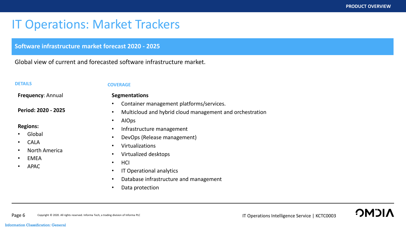## IT Operations: Market Trackers

**Software infrastructure market forecast 2020 - 2025** 

Global view of current and forecasted software infrastructure market.

#### **DETAILS COVERAGE**

**Frequency**: Annual

**Period: 2020 - 2025**

#### **Regions:**

- Global
- CALA
- North America
- **EMEA**
- APAC

- **Segmentations**
- Container management platforms/services.
- Multicloud and hybrid cloud management and orchestration
- AIOps
- Infrastructure management
- DevOps (Release management)
	- Virtualizations
- Virtualized desktops
- HCI
- IT Operational analytics
- Database infrastructure and management
- Data protection

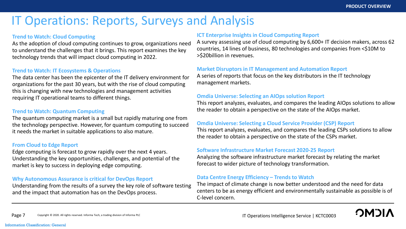## IT Operations: Reports, Surveys and Analysis

#### **Trend to Watch: Cloud Computing**

As the adoption of cloud computing continues to grow, organizations need to understand the challenges that it brings. This report examines the key technology trends that will impact cloud computing in 2022.

#### **Trend to Watch: IT Ecosystems & Operations**

The data center has been the epicenter of the IT delivery environment for organizations for the past 30 years, but with the rise of cloud computing this is changing with new technologies and management activities requiring IT operational teams to different things.

#### **Trend to Watch: Quantum Computing**

The quantum computing market is a small but rapidly maturing one from the technology perspective. However, for quantum computing to succeed it needs the market in suitable applications to also mature.

#### **From Cloud to Edge Report**

Edge computing is forecast to grow rapidly over the next 4 years. Understanding the key opportunities, challenges, and potential of the market is key to success in deploying edge computing.

#### **Why Autonomous Assurance is critical for DevOps Report**

Understanding from the results of a survey the key role of software testing and the impact that automation has on the DevOps process.

#### **ICT Enterprise Insights in Cloud Computing Report**

A survey assessing use of cloud computing by 6,600+ IT decision makers, across 62 countries, 14 lines of business, 80 technologies and companies from <\$10M to >\$20billion in revenues.

#### **Market Disruptors in IT Management and Automation Report**

A series of reports that focus on the key distributors in the IT technology management markets.

#### **Omdia Universe: Selecting an AIOps solution Report**

This report analyzes, evaluates, and compares the leading AIOps solutions to allow the reader to obtain a perspective on the state of the AIOps market.

#### **Omdia Universe: Selecting a Cloud Service Provider (CSP) Report**

This report analyzes, evaluates, and compares the leading CSPs solutions to allow the reader to obtain a perspective on the state of the CSPs market.

#### **Software Infrastructure Market Forecast 2020-25 Report**

Analyzing the software infrastructure market forecast by relating the market forecast to wider picture of technology transformation.

#### **Data Centre Energy Efficiency – Trends to Watch**

The impact of climate change is now better understood and the need for data centers to be as energy efficient and environmentally sustainable as possible is of C-level concern.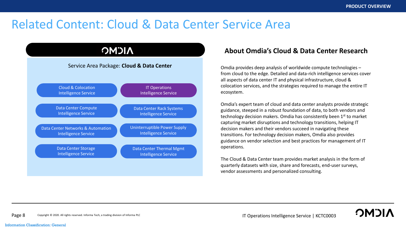**OMOL** 

### Related Content: Cloud & Data Center Service Area



#### **About Omdia's Cloud & Data Center Research**

Omdia provides deep analysis of worldwide compute technologies – from cloud to the edge. Detailed and data-rich intelligence services cover all aspects of data center IT and physical infrastructure, cloud & colocation services, and the strategies required to manage the entire IT ecosystem.

Omdia's expert team of cloud and data center analysts provide strategic guidance, steeped in a robust foundation of data, to both vendors and technology decision makers. Omdia has consistently been 1<sup>st</sup> to market capturing market disruptions and technology transitions, helping IT decision makers and their vendors succeed in navigating these transitions. For technology decision makers, Omdia also provides guidance on vendor selection and best practices for management of IT operations.

The Cloud & Data Center team provides market analysis in the form of quarterly datasets with size, share and forecasts, end-user surveys, vendor assessments and personalized consulting.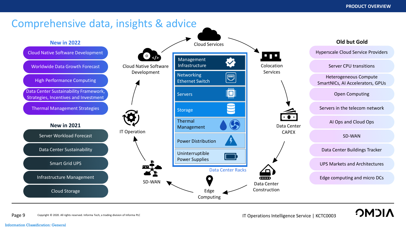

Information Classification: General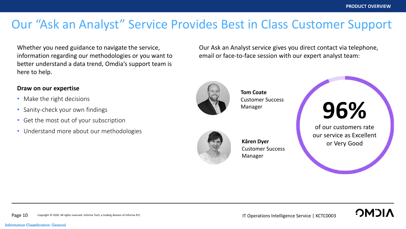## Our "Ask an Analyst" Service Provides Best in Class Customer Support

Whether you need guidance to navigate the service, information regarding our methodologies or you want to better understand a data trend, Omdia's support team is here to help.

#### **Draw on our expertise**

- Make the right decisions
- Sanity-check your own findings
- Get the most out of your subscription
- Understand more about our methodologies

Our Ask an Analyst service gives you direct contact via telephone, email or face-to-face session with our expert analyst team:



**Tom Coate** Customer Success Manager



**Kâren Dyer** Customer Success Manager



of our customers rate our service as Excellent or Very Good

**OMOL**